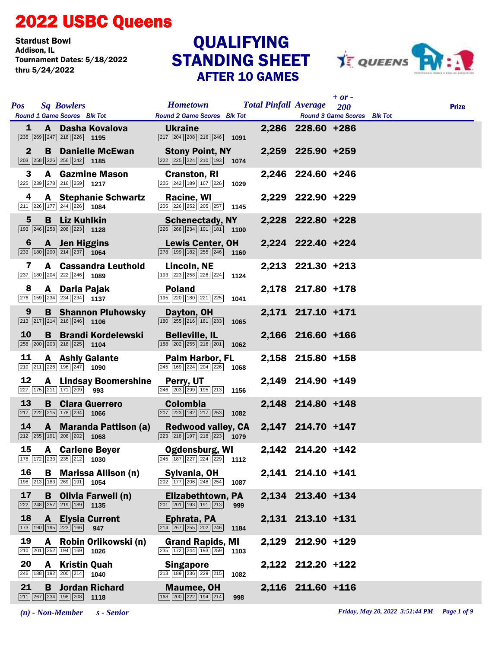## 2022 USBC Queens

Stardust Bowl<br>Addison, IL Tournament Dates: 5/18/2022 thru 5/24/2022

## STANDING SHEET AFTER 10 GAMES **QUALIFYING**



| <b>Pos</b><br><b>Sq Bowlers</b><br>Round 1 Game Scores Blk Tot                                                                | <b>Hometown</b><br><b>Round 2 Game Scores Blk Tot</b>                                                          | $+$ or -<br><b>Total Pinfall Average</b> 200<br><b>Round 3 Game Scores</b> Blk Tot | <b>Prize</b> |
|-------------------------------------------------------------------------------------------------------------------------------|----------------------------------------------------------------------------------------------------------------|------------------------------------------------------------------------------------|--------------|
| A Dasha Kovalova<br>$\mathbf{1}$                                                                                              | <b>Ukraine</b><br>$\boxed{217}$ $\boxed{204}$ $\boxed{208}$ $\boxed{216}$ $\boxed{246}$ <b>1091</b>            | 2,286 228.60 +286                                                                  |              |
| $\mathbf{2}$<br><b>B</b> Danielle McEwan<br>$\boxed{203}$ $\boxed{258}$ $\boxed{226}$ $\boxed{256}$ $\boxed{242}$ <b>1185</b> | <b>Stony Point, NY</b><br>$\boxed{222}\boxed{225}\boxed{224}\boxed{210}\boxed{193}$ 1074                       | 2,259 225.90 +259                                                                  |              |
| <b>A</b> Gazmine Mason<br>3<br>$\boxed{225}$ $\boxed{239}$ $\boxed{278}$ $\boxed{216}$ $\boxed{259}$ 1217                     | <b>Cranston, RI</b><br>$\boxed{205}$ $\boxed{242}$ $\boxed{189}$ $\boxed{167}$ $\boxed{226}$<br>1029           | 2,246 224.60 +246                                                                  |              |
| 4<br><b>A</b> Stephanie Schwartz<br>211 226 177 244 226 1084                                                                  | Racine, WI<br>$\boxed{205}$ $\boxed{226}$ $\boxed{252}$ $\boxed{205}$ $\boxed{257}$ 1145                       | 2,229 222.90 +229                                                                  |              |
| 5<br><b>B</b> Liz Kuhlkin<br>$\boxed{193}$ $\boxed{246}$ $\boxed{258}$ $\boxed{208}$ $\boxed{223}$ <b>1128</b>                | <b>Schenectady, NY</b><br>$\boxed{226}$ $\boxed{268}$ $\boxed{234}$ $\boxed{191}$ $\boxed{181}$ <b>1100</b>    | 2,228 222.80 +228                                                                  |              |
| A Jen Higgins<br>6<br>$\boxed{233}$ 180 $\boxed{200}$ $\boxed{214}$ $\boxed{237}$ 1064                                        | <b>Lewis Center, OH</b><br>$\boxed{278}$ 199 182 255 246 1160                                                  | 2,224 222.40 +224                                                                  |              |
| 7<br>A Cassandra Leuthold<br>237 180 204 222 246 1089                                                                         | Lincoln, NE<br>193 223 258 226 224<br>1124                                                                     | 2,213 221.30 +213                                                                  |              |
| 8<br>A Daria Pajak<br>276 159 234 234 234 1137                                                                                | <b>Poland</b><br>195 220 180 221 225<br>1041                                                                   | 2,178 217.80 +178                                                                  |              |
| <b>B</b> Shannon Pluhowsky<br>9<br>$\boxed{213}$ $\boxed{217}$ $\boxed{214}$ $\boxed{216}$ $\boxed{246}$ 1106                 | Dayton, OH<br>$\boxed{180}$ $\boxed{255}$ $\boxed{216}$ $\boxed{181}$ $\boxed{233}$<br>1065                    | 2,171 217.10 +171                                                                  |              |
| 10<br><b>B</b> Brandi Kordelewski<br>258 200 203 218 225 1104                                                                 | <b>Belleville, IL</b><br>188 202 255 216 201<br>1062                                                           | 2,166 216.60 +166                                                                  |              |
| 11<br><b>A</b> Ashly Galante<br>$\boxed{210}$ $\boxed{211}$ $\boxed{226}$ $\boxed{196}$ $\boxed{247}$ <b>1090</b>             | <b>Palm Harbor, FL</b><br>$\overline{245}$ 169 $\overline{224}$ $\overline{204}$ $\overline{226}$ 1068         | 2,158 215.80 +158                                                                  |              |
| 12<br><b>A</b> Lindsay Boomershine<br>227 175 211 171 209 993                                                                 | Perry, UT<br>$\boxed{246}\boxed{203}\boxed{299}\boxed{195}\boxed{213}$ 1156                                    | 2,149 214.90 +149                                                                  |              |
| 13<br><b>B</b> Clara Guerrero<br>$\boxed{217}$ $\boxed{222}$ $\boxed{215}$ $\boxed{178}$ $\boxed{234}$ <b>1066</b>            | <b>Colombia</b><br>$\boxed{207}$ $\boxed{223}$ $\boxed{182}$ $\boxed{217}$ $\boxed{253}$ <b>1082</b>           | 2,148 214.80 +148                                                                  |              |
| 14<br><b>A</b> Maranda Pattison (a)<br>$\boxed{212}$ $\boxed{255}$ $\boxed{191}$ $\boxed{208}$ $\boxed{202}$ <b>1068</b>      | <b>Redwood valley, CA</b><br>$\boxed{223}$ $\boxed{218}$ $\boxed{197}$ $\boxed{218}$ $\boxed{223}$ <b>1079</b> | 2,147 214.70 +147                                                                  |              |
| 15<br><b>A</b> Carlene Beyer<br>178 172 233 235 212 1030                                                                      | <b>Ogdensburg, WI</b><br>$\overline{245}$ 187 227 224 229 1112                                                 | 2,142 214.20 +142                                                                  |              |
| 16<br><b>B</b> Marissa Allison (n)<br>198 213 183 269 191 1054                                                                | Sylvania, OH<br>$\boxed{202}$ 177 206 248 254<br>1087                                                          | 2,141 214.10 +141                                                                  |              |
| 17<br><b>B</b> Olivia Farwell (n)<br>$\boxed{222}\boxed{248}\boxed{257}\boxed{219}\boxed{189}$<br>1135                        | Elizabethtown, PA<br>$\boxed{201}$ $\boxed{201}$ $\boxed{193}$ $\boxed{191}$ $\boxed{213}$<br>999              | 2,134 213.40 +134                                                                  |              |
| 18<br><b>Elysia Current</b><br>$\mathbf{A}$<br>$\boxed{173}$ $\boxed{190}$ $\boxed{195}$ $\boxed{223}$ $\boxed{166}$<br>947   | Ephrata, PA<br>$\boxed{214}$ $\boxed{267}$ $\boxed{255}$ $\boxed{202}$ $\boxed{246}$<br>1184                   | 2,131 213.10 +131                                                                  |              |
| 19<br>Robin Orlikowski (n)<br>A<br>210 201 252 194 169 1026                                                                   | <b>Grand Rapids, MI</b><br>235 172 244 193 259<br>1103                                                         | 2,129 212.90 +129                                                                  |              |
| 20<br>A Kristin Quah<br>$\boxed{246}$ 188 192 200 214 1040                                                                    | <b>Singapore</b><br>213 189 236 229 215<br>1082                                                                | 2,122 212.20 +122                                                                  |              |
| 21<br><b>B</b> Jordan Richard<br>$\boxed{211}$ $\boxed{267}$ $\boxed{234}$ $\boxed{198}$ $\boxed{208}$ <b>1118</b>            | <b>Maumee, OH</b><br>168 200 222 194 214<br>998                                                                | 2,116 211.60 +116                                                                  |              |

*(n) - Non-Member s - Senior Friday, May 20, 2022 3:51:44 PM Page 1 of 9*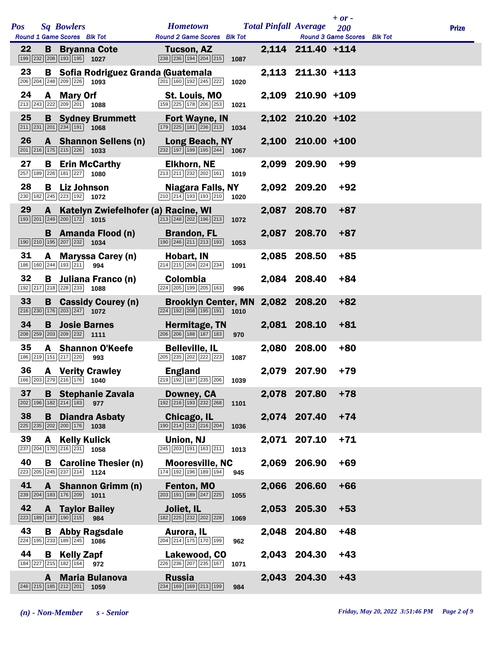|     |         |                                                                                   |                                                     |                                                                                                                 |      |       |                              | $+$ or $-$                         |              |
|-----|---------|-----------------------------------------------------------------------------------|-----------------------------------------------------|-----------------------------------------------------------------------------------------------------------------|------|-------|------------------------------|------------------------------------|--------------|
| Pos |         | <b>Sq Bowlers</b><br>Round 1 Game Scores Blk Tot                                  |                                                     | <b>Hometown</b><br><b>Round 2 Game Scores Blk Tot</b>                                                           |      |       | <b>Total Pinfall Average</b> | 200<br>Round 3 Game Scores Blk Tot | <b>Prize</b> |
| 22  |         | $\boxed{199}$ $\boxed{232}$ $\boxed{208}$ $\boxed{193}$ $\boxed{195}$ <b>1027</b> | <b>B</b> Bryanna Cote                               | Tucson, AZ<br>238 236 194 204 215                                                                               | 1087 |       | 2,114 211.40 +114            |                                    |              |
| 23  |         | $\boxed{206}$ $\boxed{204}$ $\boxed{248}$ $\boxed{209}$ $\boxed{226}$ <b>1093</b> | <b>B</b> Sofia Rodriguez Granda (Guatemala          | 201 160 192 245 222                                                                                             | 1020 |       | 2,113 211.30 +113            |                                    |              |
| 24  |         | A Mary Orf<br>213 243 222 209 201 1088                                            |                                                     | St. Louis, MO<br>$159$ $225$ $178$ $206$ $253$                                                                  | 1021 |       | 2,109 210.90 +109            |                                    |              |
| 25  |         | $\boxed{211}$ $\boxed{231}$ $\boxed{201}$ $\boxed{234}$ $\boxed{191}$ <b>1068</b> | <b>B</b> Sydney Brummett                            | <b>Fort Wayne, IN</b><br>$\boxed{179}$ $\boxed{225}$ $\boxed{181}$ $\boxed{236}$ $\boxed{213}$ <b>1034</b>      |      |       | 2,102 210.20 +102            |                                    |              |
| 26  |         | $\boxed{201}$ $\boxed{216}$ $\boxed{175}$ $\boxed{215}$ $\boxed{226}$ <b>1033</b> | A Shannon Sellens (n)                               | Long Beach, NY<br>232 197 199 195 244                                                                           | 1067 |       | 2,100 210.00 +100            |                                    |              |
| 27  |         | 257 189 226 181 227 1080                                                          | <b>B</b> Erin McCarthy                              | <b>Elkhorn, NE</b><br>213 211 232 202 161                                                                       | 1019 |       | 2,099 209.90                 | $+99$                              |              |
| 28  |         | <b>B</b> Liz Johnson<br>230 182 245 223 192 1072                                  |                                                     | Niagara Falls, NY<br>$\boxed{210}$ $\boxed{214}$ $\boxed{193}$ $\boxed{193}$ $\boxed{210}$                      | 1020 |       | 2,092 209.20                 | $+92$                              |              |
| 29  | A .     | $\boxed{193}$ $\boxed{201}$ $\boxed{249}$ $\boxed{200}$ $\boxed{172}$ <b>1015</b> | Katelyn Zwiefelhofer (a) Racine, WI                 | $\boxed{213}$ $\boxed{248}$ $\boxed{202}$ $\boxed{196}$ $\boxed{213}$                                           | 1072 |       | 2,087 208.70                 | $+87$                              |              |
|     |         | 190 210 195 207 232 1034                                                          | <b>B</b> Amanda Flood (n)                           | <b>Brandon, FL</b><br>190 246 211 213 193                                                                       | 1053 |       | 2,087 208.70                 | $+87$                              |              |
| 31  |         | 186 160 244 193 211 994                                                           | A Maryssa Carey (n)                                 | Hobart, IN<br>214 215 204 224 234                                                                               | 1091 |       | 2,085 208.50                 | $+85$                              |              |
| 32  | B       | $\boxed{192}$ $\boxed{217}$ $\boxed{218}$ $\boxed{228}$ $\boxed{233}$ <b>1088</b> | Juliana Franco (n)                                  | <b>Colombia</b><br>224 205 199 205 163                                                                          | 996  |       | 2,084 208.40                 | $+84$                              |              |
| 33  |         | $\boxed{216}\boxed{230}\boxed{176}\boxed{203}\boxed{247}$ 1072                    | <b>B</b> Cassidy Courey (n)                         | <b>Brooklyn Center, MN</b><br>$\boxed{224}$ $\boxed{192}$ $\boxed{208}$ $\boxed{195}$ $\boxed{191}$ <b>1010</b> |      |       | 2,082 208.20                 | $+82$                              |              |
| 34  | B       | 208 259 203 209 232 1111                                                          | <b>Josie Barnes</b>                                 | Hermitage, TN<br>206 206 188 187 183                                                                            | 970  |       | 2,081 208.10                 | $+81$                              |              |
| 35  |         | 186 219 151 217 220                                                               | <b>A</b> Shannon O'Keefe<br>993                     | <b>Belleville, IL</b><br>205 235 202 222 223                                                                    | 1087 |       | 2,080 208.00                 | $+80$                              |              |
| 36  |         |                                                                                   | <b>A</b> Verity Crawley<br>166 203 279 216 176 1040 | <b>England</b><br>$\boxed{219}$ $\boxed{192}$ $\boxed{187}$ $\boxed{235}$ $\boxed{206}$ <b>1039</b>             |      |       | 2,079 207.90                 | $+79$                              |              |
| 37  |         | 202 196 182 214 183 977                                                           | <b>B</b> Stephanie Zavala                           | Downey, CA<br>$\boxed{192}$ $\boxed{216}$ $\boxed{193}$ $\boxed{232}$ $\boxed{268}$                             | 1101 |       | 2,078 207.80                 | $+78$                              |              |
| 38  | B       | 225 235 202 200 176                                                               | <b>Diandra Asbaty</b><br>1038                       | Chicago, IL<br>$\boxed{190}$ $\boxed{214}$ $\boxed{212}$ $\boxed{216}$ $\boxed{204}$                            | 1036 |       | 2,074 207.40                 | $+74$                              |              |
| 39  | A       | 237 204 170 216 231 1058                                                          | <b>Kelly Kulick</b>                                 | Union, NJ<br>245 203 191 163 211                                                                                | 1013 |       | 2,071 207.10                 | $+71$                              |              |
| 40  |         | $\boxed{223}$ $\boxed{205}$ $\boxed{245}$ $\boxed{237}$ $\boxed{214}$ 1124        | <b>B</b> Caroline Thesier (n)                       | <b>Mooresville, NC</b><br>174 192 196 189 194                                                                   | 945  |       | 2,069 206.90                 | $+69$                              |              |
| 41  | 239 204 | $\boxed{183}$ $\boxed{176}$ $\boxed{209}$ 1011                                    | A Shannon Grimm (n)                                 | Fenton, MO<br>203 191 189 247 225                                                                               | 1055 |       | 2,066 206.60                 | $+66$                              |              |
| 42  |         | <b>A</b> Taylor Bailey<br>223 189 167 190 215                                     | 984                                                 | Joliet, IL<br>182 225 232 202 228                                                                               | 1069 |       | 2,053 205.30                 | $+53$                              |              |
| 43  |         | 224 195 233 189 245 1086                                                          | <b>B</b> Abby Ragsdale                              | Aurora, IL<br>204 214 175 170 199                                                                               | 962  | 2,048 | 204.80                       | $+48$                              |              |
| 44  | B       | <b>Kelly Zapf</b><br>184 227 215 182 164 972                                      |                                                     | Lakewood, CO<br>226 236 207 235 167                                                                             | 1071 |       | 2,043 204.30                 | $+43$                              |              |
|     | A       | $\boxed{246}\boxed{215}\boxed{185}\boxed{212}\boxed{201}$ 1059                    | <b>Maria Bulanova</b>                               | <b>Russia</b><br>234 169 169 213 199                                                                            | 984  |       | 2,043 204.30                 | $+43$                              |              |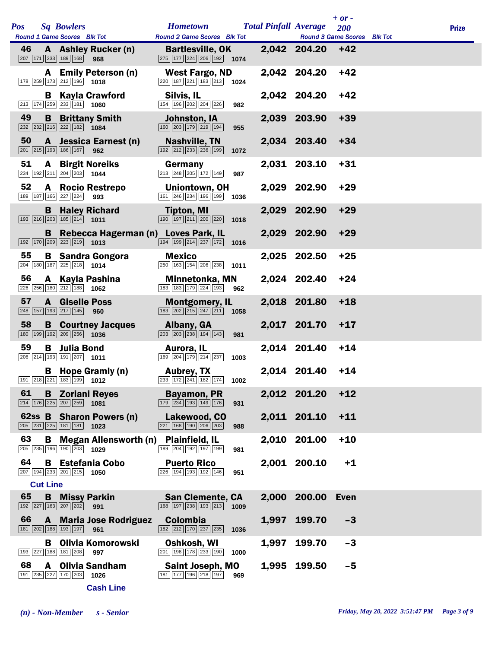| Pos |                 |   | <b>Sq Bowlers</b>                                                                 |                                                                                                               | <b>Hometown</b>                                                                                    |      |       | <b>Total Pinfall Average</b>                    | $+$ or $-$<br>200 | <b>Prize</b> |
|-----|-----------------|---|-----------------------------------------------------------------------------------|---------------------------------------------------------------------------------------------------------------|----------------------------------------------------------------------------------------------------|------|-------|-------------------------------------------------|-------------------|--------------|
| 46  |                 |   | Round 1 Game Scores Blk Tot<br>207 171 233 189 168 968                            | A Ashley Rucker (n)                                                                                           | <b>Round 2 Game Scores</b> Blk Tot<br><b>Bartlesville, OK</b><br>275 177 224 206 192 1074          |      |       | Round 3 Game Scores Blk Tot<br>2,042 204.20 +42 |                   |              |
|     |                 | A | $\boxed{178}$ $\boxed{259}$ $\boxed{173}$ $\boxed{212}$ $\boxed{196}$ <b>1018</b> | <b>Emily Peterson (n)</b>                                                                                     | <b>West Fargo, ND</b><br>$\boxed{220}$ 187 221 183 213 1024                                        |      |       | 2,042 204.20                                    | $+42$             |              |
|     |                 |   | $\boxed{213}$ $\boxed{174}$ $\boxed{259}$ $\boxed{233}$ $\boxed{181}$ <b>1060</b> | <b>B</b> Kayla Crawford                                                                                       | Silvis, IL<br>154 196 202 204 226                                                                  | 982  |       | 2,042 204.20                                    | $+42$             |              |
| 49  |                 |   | $\boxed{232}$ $\boxed{232}$ $\boxed{216}$ $\boxed{222}$ $\boxed{182}$ <b>1084</b> | <b>B</b> Brittany Smith                                                                                       | Johnston, IA<br>160 203 179 219 194                                                                | 955  |       | 2,039 203.90                                    | $+39$             |              |
| 50  |                 |   | 201 215 193 186 167                                                               | A Jessica Earnest (n)<br>962                                                                                  | Nashville, TN<br>192 212 233 236 199                                                               | 1072 |       | 2,034 203.40                                    | $+34$             |              |
| 51  |                 | A | $\overline{234}$ 192 $\overline{211}$ $\overline{204}$ $\overline{203}$ 1044      | <b>Birgit Noreiks</b>                                                                                         | Germany<br>213 248 205 172 149                                                                     | 987  |       | 2,031 203.10                                    | $+31$             |              |
| 52  |                 |   | 189 187 166 227 224                                                               | A Rocio Restrepo<br>993                                                                                       | Uniontown, OH<br>$\boxed{161}$ $\boxed{246}$ $\boxed{234}$ $\boxed{196}$ $\boxed{199}$ <b>1036</b> |      |       | 2,029 202.90                                    | $+29$             |              |
|     |                 |   | $\boxed{193}$ $\boxed{216}$ $\boxed{203}$ $\boxed{185}$ $\boxed{214}$ <b>1011</b> | <b>B</b> Haley Richard                                                                                        | <b>Tipton, MI</b><br>$\boxed{190}$ $\boxed{197}$ $\boxed{211}$ $\boxed{200}$ $\boxed{220}$         | 1018 |       | 2,029 202.90                                    | $+29$             |              |
|     |                 |   | $\boxed{192}$ $\boxed{170}$ $\boxed{209}$ $\boxed{223}$ $\boxed{219}$ <b>1013</b> | <b>B</b> Rebecca Hagerman (n) Loves Park, IL                                                                  | $\boxed{194}\boxed{199}\boxed{214}\boxed{237}\boxed{172}$                                          | 1016 |       | 2,029 202.90                                    | $+29$             |              |
| 55  |                 |   | $\boxed{204}$ 180 187 225 218 1014                                                | <b>B</b> Sandra Gongora                                                                                       | <b>Mexico</b><br>$\boxed{250}$ 163 154 206 238 1011                                                |      |       | 2,025 202.50                                    | $+25$             |              |
| 56  |                 |   | 226 256 180 212 188 1062                                                          | A Kayla Pashina                                                                                               | <b>Minnetonka, MN</b><br>183 183 179 224 193                                                       | 962  |       | 2,024 202.40                                    | $+24$             |              |
| 57  |                 |   | A Giselle Poss<br>248 157 193 217 145 960                                         |                                                                                                               | <b>Montgomery, IL</b><br>183 202 215 247 211 1058                                                  |      |       | 2,018 201.80                                    | $+18$             |              |
| 58  |                 |   | 180 199 192 209 256 1036                                                          | <b>B</b> Courtney Jacques                                                                                     | Albany, GA<br>203 203 238 194 143                                                                  | 981  |       | 2,017 201.70                                    | $+17$             |              |
| 59  |                 | В | <b>Julia Bond</b><br>206 214 193 191 207 1011                                     |                                                                                                               | Aurora, IL<br>169 204 179 214 237                                                                  | 1003 |       | 2,014 201.40                                    | $+14$             |              |
|     |                 |   |                                                                                   | <b>B</b> Hope Gramly (n)<br>$\boxed{191}$ $\boxed{218}$ $\boxed{221}$ $\boxed{183}$ $\boxed{199}$ <b>1012</b> | Aubrey, TX<br>233 172 241 182 174 1002                                                             |      |       | 2,014 201.40                                    | $+14$             |              |
| 61  |                 |   | $\boxed{214}$ 176 225 207 259 1081                                                | <b>B</b> Zoriani Reyes                                                                                        | <b>Bayamon, PR</b><br>$\boxed{179}$ $\boxed{234}$ $\boxed{193}$ $\boxed{149}$ $\boxed{176}$        | 931  |       | 2,012 201.20                                    | $+12$             |              |
|     |                 |   | $\boxed{205}$ $\boxed{231}$ $\boxed{225}$ $\boxed{181}$ $\boxed{181}$             | 62ss B Sharon Powers (n)<br>1023                                                                              | Lakewood, CO<br>221 168 190 206 203                                                                | 988  |       | 2,011 201.10                                    | $+11$             |              |
| 63  |                 | B | 205 235 196 190 203 1029                                                          | <b>Megan Allensworth (n)</b>                                                                                  | <b>Plainfield, IL</b><br>189 204 192 197 199                                                       | 981  |       | 2,010 201.00                                    | $+10$             |              |
| 64  |                 |   | 207 194 233 201 215 1050                                                          | <b>B</b> Estefania Cobo                                                                                       | <b>Puerto Rico</b><br>226 194 193 192 146                                                          | 951  |       | 2,001 200.10                                    | $+1$              |              |
| 65  | <b>Cut Line</b> |   |                                                                                   |                                                                                                               |                                                                                                    |      | 2,000 | 200.00                                          | Even              |              |
|     |                 |   | <b>B</b> Missy Parkin<br>192 227 163 207 202                                      | 991                                                                                                           | <b>San Clemente, CA</b><br>168 197 238 193 213                                                     | 1009 |       |                                                 |                   |              |
| 66  |                 |   | 181 202 188 193 197                                                               | <b>A</b> Maria Jose Rodriguez<br>961                                                                          | <b>Colombia</b><br>182 212 170 237 235                                                             | 1036 | 1,997 | 199.70                                          | $-3$              |              |
|     |                 |   | 193 227 188 181 208                                                               | <b>B</b> Olivia Komorowski<br>997                                                                             | Oshkosh, WI<br>201 198 178 233 190                                                                 | 1000 | 1,997 | 199.70                                          | $-3$              |              |
| 68  |                 | A | 191 235 227 170 203 1026                                                          | <b>Olivia Sandham</b>                                                                                         | <b>Saint Joseph, MO</b><br>181 177 196 218 197                                                     | 969  |       | 1,995 199.50                                    | $-5$              |              |
|     |                 |   |                                                                                   |                                                                                                               |                                                                                                    |      |       |                                                 |                   |              |

**Cash Line**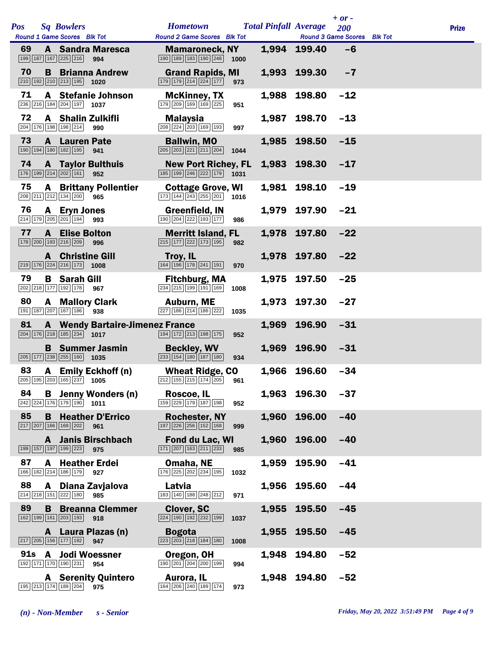|     |   |                                                                                   |                                                 |                                                                                                               |      |       |                                                             | $+$ or $-$ |              |
|-----|---|-----------------------------------------------------------------------------------|-------------------------------------------------|---------------------------------------------------------------------------------------------------------------|------|-------|-------------------------------------------------------------|------------|--------------|
| Pos |   | <b>Sq Bowlers</b><br>Round 1 Game Scores Blk Tot                                  |                                                 | <b>Hometown</b><br><b>Round 2 Game Scores Blk Tot</b>                                                         |      |       | <b>Total Pinfall Average</b><br>Round 3 Game Scores Blk Tot | 200        | <b>Prize</b> |
| 69  |   | 199 187 167 225 216                                                               | <b>A</b> Sandra Maresca<br>994                  | <b>Mamaroneck, NY</b><br>$\boxed{190}$ $\boxed{189}$ $\boxed{183}$ $\boxed{190}$ $\boxed{248}$                | 1000 |       | 1,994 199.40                                                | $-6$       |              |
| 70  | B | $\boxed{210}$ $\boxed{192}$ $\boxed{210}$ $\boxed{213}$ $\boxed{195}$ <b>1020</b> | <b>Brianna Andrew</b>                           | <b>Grand Rapids, MI</b><br>179 179 214 224 177                                                                | 973  |       | 1,993 199.30                                                | $-7$       |              |
| 71  |   | 236 216 184 204 197 1037                                                          | A Stefanie Johnson                              | <b>McKinney, TX</b><br>179 209 169 169 225                                                                    | 951  | 1,988 | 198.80                                                      | $-12$      |              |
| 72  |   | <b>A</b> Shalin Zulkifli<br>204 176 198 198 214                                   | 990                                             | <b>Malaysia</b><br>208 224 203 169 193                                                                        | 997  |       | 1,987 198.70                                                | $-13$      |              |
| 73  |   | <b>A</b> Lauren Pate<br>190 194 180 182 195                                       | 941                                             | <b>Ballwin, MO</b><br>$\boxed{205}$ $\boxed{203}$ $\boxed{221}$ $\boxed{211}$ $\boxed{204}$                   | 1044 |       | 1,985 198.50                                                | $-15$      |              |
| 74  |   | 176 199 214 202 161                                                               | <b>A</b> Taylor Bulthuis<br>952                 | <b>New Port Richey, FL</b><br>185 199 246 222 179 1031                                                        |      |       | 1,983 198.30                                                | $-17$      |              |
| 75  |   | 208 211 212 134 200                                                               | <b>A</b> Brittany Pollentier<br>965             | <b>Cottage Grove, WI</b><br>$\boxed{173}$ $\boxed{144}$ $\boxed{243}$ $\boxed{255}$ $\boxed{201}$ <b>1016</b> |      |       | 1,981 198.10                                                | $-19$      |              |
| 76  | A | <b>Eryn Jones</b><br>214 179 205 201 194                                          | 993                                             | <b>Greenfield, IN</b><br>190 204 222 193 177                                                                  | 986  |       | 1,979 197.90                                                | $-21$      |              |
| 77  |   | <b>A</b> Elise Bolton<br>178 200 193 216 209 996                                  |                                                 | <b>Merritt Island, FL</b><br>215 177 222 173 195                                                              | 982  |       | 1,978 197.80                                                | $-22$      |              |
|     |   | <b>A</b> Christine Gill<br>$\boxed{219}$ 176 224 216 173 1008                     |                                                 | Troy, IL<br>164 196 178 241 191                                                                               | 970  |       | 1,978 197.80                                                | $-22$      |              |
| 79  |   | <b>B</b> Sarah Gill<br>202 218 177 192 178                                        | 967                                             | <b>Fitchburg, MA</b><br>$\boxed{234}$ $\boxed{215}$ $\boxed{199}$ $\boxed{191}$ $\boxed{169}$                 | 1008 | 1,975 | 197.50                                                      | $-25$      |              |
| 80  |   | <b>A</b> Mallory Clark<br>191 187 207 167 186 938                                 |                                                 | <b>Auburn, ME</b><br>227 186 214 186 222                                                                      | 1035 |       | 1,973 197.30                                                | $-27$      |              |
| 81  |   | $\boxed{204}$ $\boxed{176}$ $\boxed{218}$ $\boxed{185}$ $\boxed{234}$ 1017        | <b>A</b> Wendy Bartaire-Jimenez France          | 194 172 213 198 175                                                                                           | 952  | 1,969 | 196.90                                                      | $-31$      |              |
|     |   | $\boxed{205}$ 177 238 255 160 1035                                                | <b>B</b> Summer Jasmin                          | <b>Beckley, WV</b><br>$\boxed{233}$ $\boxed{154}$ $\boxed{180}$ $\boxed{187}$ $\boxed{180}$                   | 934  |       | 1,969 196.90                                                | $-31$      |              |
| 83  |   |                                                                                   | A Emily Eckhoff (n)<br>205 195 203 165 237 1005 | <b>Wheat Ridge, CO</b><br>$212$ 155 215 174 205 961                                                           |      |       | 1,966 196.60                                                | $-34$      |              |
| 84  |   | $\boxed{242}\boxed{224}\boxed{176}\boxed{179}\boxed{190}$ 1011                    | <b>B</b> Jenny Wonders (n)                      | Roscoe, IL<br>$\boxed{159}$ $\boxed{229}$ $\boxed{179}$ $\boxed{187}$ $\boxed{198}$                           | 952  |       | 1,963 196.30                                                | $-37$      |              |
| 85  | B | 217 207 166 169 202                                                               | <b>Heather D'Errico</b><br>961                  | <b>Rochester, NY</b><br>197 226 256 152 168                                                                   | 999  |       | 1,960 196.00                                                | $-40$      |              |
|     | A | 199 157 197 199 223                                                               | <b>Janis Birschbach</b><br>975                  | <b>Fond du Lac, WI</b><br>171 207 163 211 233                                                                 | 985  | 1,960 | 196.00                                                      | $-40$      |              |
| 87  | A | 166 182 214 186 179                                                               | <b>Heather Erdei</b><br>927                     | Omaha, NE<br>176 225 202 234 195                                                                              | 1032 | 1,959 | 195.90                                                      | $-41$      |              |
| 88  | A | 214 218 151 222 180                                                               | Diana Zavjalova<br>985                          | Latvia<br>183 140 188 248 212                                                                                 | 971  |       | 1,956 195.60                                                | $-44$      |              |
| 89  | B | 162 199 161 203 193                                                               | <b>Breanna Clemmer</b><br>918                   | <b>Clover, SC</b><br>224 190 192 232 199                                                                      | 1037 | 1,955 | 195.50                                                      | $-45$      |              |
|     |   | 217 205 156 177 192                                                               | A Laura Plazas (n)<br>947                       | <b>Bogota</b><br>223 203 218 184 180                                                                          | 1008 | 1,955 | 195.50                                                      | $-45$      |              |
| 91s |   | A Jodi Woessner<br>192 171 170 190 231                                            | 954                                             | Oregon, OH<br>190 201 204 200 199                                                                             | 994  | 1,948 | 194.80                                                      | $-52$      |              |
|     |   | 195 213 174 189 204                                                               | <b>A</b> Serenity Quintero<br>975               | Aurora, IL<br>164 206 240 189 174                                                                             | 973  |       | 1,948 194.80                                                | $-52$      |              |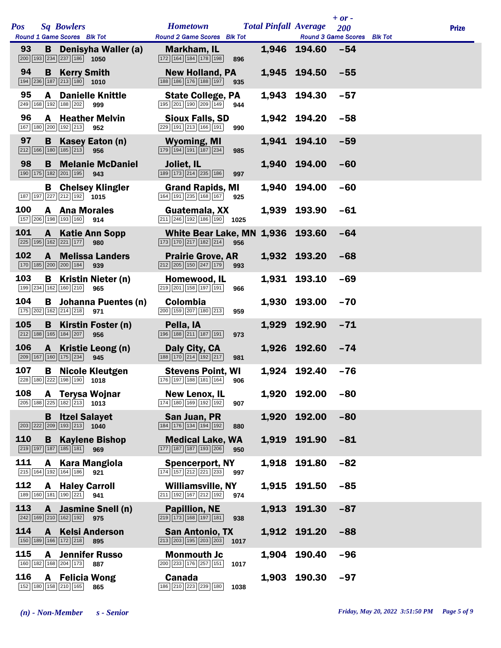|     |              |                                                                                                           |                                                      |                                                                                                     |      |       |                              | $+$ or $-$ |              |
|-----|--------------|-----------------------------------------------------------------------------------------------------------|------------------------------------------------------|-----------------------------------------------------------------------------------------------------|------|-------|------------------------------|------------|--------------|
| Pos |              | <b>Sq Bowlers</b>                                                                                         |                                                      | <b>Hometown</b>                                                                                     |      |       | <b>Total Pinfall Average</b> | 200        | <b>Prize</b> |
| 93  |              | Round 1 Game Scores Blk Tot                                                                               |                                                      | Round 2 Game Scores Blk Tot                                                                         |      |       | Round 3 Game Scores Blk Tot  |            |              |
|     | B            | $\boxed{200}$ 193 234 237 186 1050                                                                        | Denisyha Waller (a)                                  | Markham, IL<br>172 164 184 178 198                                                                  | 896  |       | 1,946 194.60                 | $-54$      |              |
| 94  | B            | <b>Kerry Smith</b><br>$\boxed{194}$ $\boxed{236}$ $\boxed{187}$ $\boxed{213}$ $\boxed{180}$ <b>1010</b>   |                                                      | <b>New Holland, PA</b><br>188 186 176 188 197                                                       | 935  |       | 1,945 194.50                 | $-55$      |              |
| 95  | A            | 249 168 192 188 202                                                                                       | <b>Danielle Knittle</b><br>999                       | <b>State College, PA</b><br>195 201 190 209 149                                                     | 944  | 1,943 | 194.30                       | $-57$      |              |
| 96  |              | 167 180 200 192 213                                                                                       | <b>A</b> Heather Melvin<br>952                       | <b>Sioux Falls, SD</b><br>229 191 213 166 191                                                       | 990  |       | 1,942 194.20                 | $-58$      |              |
| 97  | B            | $\boxed{212}$ $\boxed{166}$ $\boxed{180}$ $\boxed{185}$ $\boxed{213}$                                     | Kasey Eaton (n)<br>956                               | <b>Wyoming, MI</b><br>$\boxed{179}$ $\boxed{194}$ $\boxed{191}$ $\boxed{187}$ $\boxed{234}$         | 985  |       | 1,941 194.10                 | $-59$      |              |
| 98  |              | 190 175 182 201 195                                                                                       | <b>B</b> Melanie McDaniel<br>943                     | Joliet, IL<br>189 173 214 235 186                                                                   | 997  | 1,940 | 194.00                       | $-60$      |              |
|     |              | 187 197 227 212 192 1015                                                                                  | <b>B</b> Chelsey Klingler                            | <b>Grand Rapids, MI</b><br>164 191 235 168 167                                                      | 925  | 1.940 | 194.00                       | $-60$      |              |
| 100 |              | <b>A</b> Ana Morales<br>157 206 198 193 160                                                               | 914                                                  | Guatemala, XX<br>$\boxed{211}$ $\boxed{246}$ $\boxed{192}$ $\boxed{186}$ $\boxed{190}$ <b>1025</b>  |      | 1,939 | 193.90                       | $-61$      |              |
| 101 |              | 225 195 162 221 177                                                                                       | <b>A</b> Katie Ann Sopp<br>980                       | <b>White Bear Lake, MN</b><br>$\boxed{173}$ $\boxed{170}$ $\boxed{217}$ $\boxed{182}$ $\boxed{214}$ | 956  | 1,936 | 193.60                       | $-64$      |              |
| 102 | A            | 170 185 200 200 184                                                                                       | <b>Melissa Landers</b><br>939                        | <b>Prairie Grove, AR</b><br>$\boxed{212}$ $\boxed{205}$ $\boxed{150}$ $\boxed{247}$ $\boxed{179}$   | 993  |       | 1,932 193.20                 | $-68$      |              |
| 103 | В            | 199 234 162 160 210                                                                                       | Kristin Nieter (n)<br>965                            | Homewood, IL<br>219 201 158 197 191                                                                 | 966  | 1,931 | 193.10                       | $-69$      |              |
| 104 |              | 175 202 162 214 218                                                                                       | <b>B</b> Johanna Puentes (n)<br>971                  | Colombia<br>200 159 207 180 213                                                                     | 959  | 1,930 | 193.00                       | $-70$      |              |
| 105 | B            | 212 188 165 184 207                                                                                       | Kirstin Foster (n)<br>956                            | Pella, IA<br>196 188 211 187 191                                                                    | 973  | 1,929 | 192.90                       | $-71$      |              |
| 106 | $\mathbf{A}$ | 209 167 160 175 234                                                                                       | Kristie Leong (n)<br>945                             | Daly City, CA<br>$\boxed{188}\boxed{170}\boxed{214}\boxed{192}\boxed{217}$                          | 981  | 1,926 | 192.60                       | $-74$      |              |
| 107 |              |                                                                                                           | <b>B</b> Nicole Kleutgen<br>228 180 222 198 190 1018 | <b>Stevens Point, WI</b><br>176 197 188 181 164 906                                                 |      |       | 1,924 192.40                 | $-76$      |              |
| 108 |              | $\boxed{205}$ 188 $\boxed{225}$ 182 $\boxed{213}$ 1013                                                    | A Terysa Wojnar                                      | <b>New Lenox, IL</b><br>174 180 169 192 192                                                         | 907  | 1,920 | 192.00                       | $-80$      |              |
|     | B            | <b>Itzel Salayet</b><br>$\boxed{203}$ $\boxed{222}$ $\boxed{209}$ $\boxed{193}$ $\boxed{213}$ <b>1040</b> |                                                      | San Juan, PR<br>184 176 134 194 192                                                                 | 880  | 1,920 | 192.00                       | $-80$      |              |
| 110 | B            | 219 197 187 185 181                                                                                       | <b>Kaylene Bishop</b><br>969                         | <b>Medical Lake, WA</b><br>177 187 187 193 206                                                      | 950  | 1,919 | 191.90                       | $-81$      |              |
| 111 | A            | 215 164 192 164 186                                                                                       | <b>Kara Mangiola</b><br>921                          | <b>Spencerport, NY</b><br>$\boxed{174}$ $\boxed{157}$ $\boxed{212}$ $\boxed{221}$ $\boxed{233}$     | 997  | 1,918 | 191.80                       | $-82$      |              |
| 112 | A            | <b>Haley Carroll</b><br>189 160 181 190 221                                                               | 941                                                  | <b>Williamsville, NY</b><br>$211$ 192 167 212 192                                                   | 974  | 1,915 | 191.50                       | $-85$      |              |
| 113 | A            | 242 169 210 162 192                                                                                       | <b>Jasmine Snell (n)</b><br>975                      | <b>Papillion, NE</b><br>219 173 168 197 181                                                         | 938  | 1,913 | 191.30                       | $-87$      |              |
| 114 | A            | 150 189 166 172 218                                                                                       | <b>Kelsi Anderson</b><br>895                         | <b>San Antonio, TX</b><br>$\boxed{213}$ $\boxed{203}$ $\boxed{195}$ $\boxed{203}$ $\boxed{203}$     | 1017 |       | 1,912 191.20                 | $-88$      |              |
| 115 | A            | 160 182 168 204 173                                                                                       | <b>Jennifer Russo</b><br>887                         | <b>Monmouth Jc</b><br>200 233 176 257 151                                                           | 1017 | 1,904 | 190.40                       | $-96$      |              |
| 116 |              | A Felicia Wong<br>152 180 158 210 165                                                                     | 865                                                  | <b>Canada</b><br>186 210 223 239 180                                                                | 1038 | 1,903 | 190.30                       | $-97$      |              |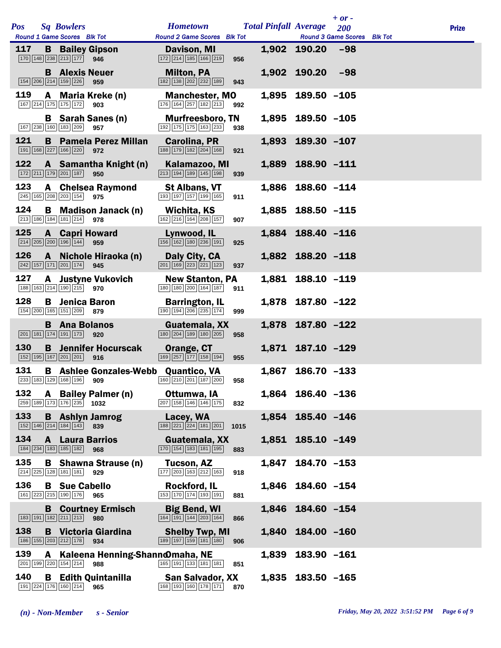|     |   |                                                                           |                                            |                                                                                        |      |       |                              | $+$ or $-$                  |              |
|-----|---|---------------------------------------------------------------------------|--------------------------------------------|----------------------------------------------------------------------------------------|------|-------|------------------------------|-----------------------------|--------------|
| Pos |   | <b>Sq Bowlers</b>                                                         |                                            | <b>Hometown</b>                                                                        |      |       | <b>Total Pinfall Average</b> | 200                         | <b>Prize</b> |
|     |   | Round 1 Game Scores Blk Tot                                               |                                            | Round 2 Game Scores Blk Tot                                                            |      |       |                              | Round 3 Game Scores Blk Tot |              |
| 117 |   | $\boxed{170}$ $\boxed{148}$ $\boxed{238}$ $\boxed{213}$ $\boxed{177}$     | <b>B</b> Bailey Gipson<br>946              | Davison, MI<br>172 214 185 166 219                                                     | 956  |       | 1,902 190.20                 | $-98$                       |              |
|     |   | <b>B</b> Alexis Neuer<br>154 206 214 159 226                              | 959                                        | <b>Milton, PA</b><br>182 138 202 232 189                                               | 943  |       | 1,902 190.20                 | $-98$                       |              |
| 119 |   | 167 214 175 175 172                                                       | A Maria Kreke (n)<br>903                   | <b>Manchester, MO</b><br>176 164 257 182 213                                           | 992  |       | 1,895 189.50 -105            |                             |              |
|     |   | 167 238 160 183 209                                                       | <b>B</b> Sarah Sanes (n)<br>957            | <b>Murfreesboro, TN</b><br>192 175 175 163 233                                         | 938  |       | 1,895 189.50 -105            |                             |              |
| 121 |   | 191   168   227   166   220                                               | <b>B</b> Pamela Perez Millan<br>972        | Carolina, PR<br>188 179 182 204 168                                                    | 921  |       | 1,893 189.30 -107            |                             |              |
| 122 |   | 172 211 179 201 187                                                       | A Samantha Knight (n)<br>950               | Kalamazoo, MI<br>213 194 189 145 198                                                   | 939  |       | 1,889 188.90 -111            |                             |              |
| 123 |   | 245 165 208 203 154 975                                                   | <b>A</b> Chelsea Raymond                   | <b>St Albans, VT</b><br>193 197 157 199 165                                            | 911  |       | 1,886 188.60 -114            |                             |              |
| 124 |   | 213 186 184 181 214                                                       | <b>B</b> Madison Janack (n)<br>978         | Wichita, KS<br>162 216 164 208 157                                                     | 907  |       | 1,885 188.50 -115            |                             |              |
| 125 |   | $\boxed{214}$ $\boxed{205}$ $\boxed{200}$ $\boxed{196}$ $\boxed{144}$     | <b>A</b> Capri Howard<br>959               | Lynwood, IL<br>$\boxed{156}$ $\boxed{162}$ $\boxed{180}$ $\boxed{236}$ $\boxed{191}$   | 925  |       | 1,884 188.40 -116            |                             |              |
| 126 |   | $242$ 157 171 201 174                                                     | A Nichole Hiraoka (n)<br>945               | Daly City, CA<br>$\boxed{201}$ $\boxed{169}$ $\boxed{223}$ $\boxed{221}$ $\boxed{123}$ | 937  |       | 1,882 188.20 -118            |                             |              |
| 127 |   | 188 163 214 190 215                                                       | A Justyne Vukovich<br>970                  | <b>New Stanton, PA</b><br>180 180 200 164 187                                          | 911  |       | 1,881 188.10 -119            |                             |              |
| 128 |   | <b>B</b> Jenica Baron<br>154 200 165 151 209 879                          |                                            | <b>Barrington, IL</b><br>190 194 206 235 174                                           | 999  |       | 1,878 187.80 -122            |                             |              |
|     |   | <b>B</b> Ana Bolanos<br>201 181 174 191 173                               | 920                                        | Guatemala, XX<br>180 204 189 180 205                                                   | 958  |       | 1,878 187.80 -122            |                             |              |
| 130 |   | 152 195 167 201 201                                                       | <b>B</b> Jennifer Hocurscak<br>916         | Orange, CT<br>169 257 177 158 194                                                      | 955  |       | 1,871 187.10 -129            |                             |              |
| 131 |   |                                                                           | <b>B</b> Ashlee Gonzales-Webb Quantico, VA | $\boxed{233}$ 183 129 168 196 909 160 210 201 187 200                                  | 958  |       | 1,867 186.70 -133            |                             |              |
| 132 |   | 259 189 173 176 235 1032                                                  | A Bailey Palmer (n)                        | Ottumwa, IA<br>$\boxed{207}$ 158 146 146 175                                           | 832  |       | 1,864 186.40 -136            |                             |              |
| 133 |   | 152 146 214 184 143                                                       | <b>B</b> Ashlyn Jamrog<br>839              | Lacey, WA<br>188 221 224 181 201                                                       | 1015 |       | 1,854 185.40 -146            |                             |              |
| 134 |   | 184 234 183 185 182                                                       | <b>A</b> Laura Barrios<br>968              | Guatemala, XX<br>170 154 183 181 195                                                   | 883  |       | 1,851 185.10 -149            |                             |              |
| 135 |   | 214 225 128 181 181                                                       | <b>B</b> Shawna Strause (n)<br>929         | Tucson, AZ<br>$\boxed{177}$ $\boxed{203}$ $\boxed{163}$ $\boxed{212}$ $\boxed{163}$    | 918  | 1,847 | 184.70 -153                  |                             |              |
| 136 |   | <b>B</b> Sue Cabello<br>161 223 215 190 176 965                           |                                            | Rockford, IL<br>153 170 174 193 191                                                    | 881  |       | 1,846 184.60 -154            |                             |              |
|     |   | $\boxed{183}$ $\boxed{191}$ $\boxed{182}$ $\boxed{211}$ $\boxed{213}$ 980 | <b>B</b> Courtney Ermisch                  | <b>Big Bend, WI</b><br>164 191 144 203 164                                             | 866  |       | 1,846 184.60 -154            |                             |              |
| 138 |   | 186 155 203 212 178                                                       | <b>B</b> Victoria Giardina<br>934          | <b>Shelby Twp, MI</b><br>189 197 159 181 180                                           | 906  | 1,840 | 184.00 -160                  |                             |              |
| 139 | A | 201 199 220 154 214                                                       | Kaleena Henning-Shannomaha, NE<br>988      | 165 191 133 181 181                                                                    | 851  | 1,839 | 183.90 -161                  |                             |              |
| 140 |   | 191 224 176 160 214                                                       | <b>B</b> Edith Quintanilla<br>965          | <b>San Salvador, XX</b><br>168 193 160 178 171                                         | 870  |       | 1,835 183.50 -165            |                             |              |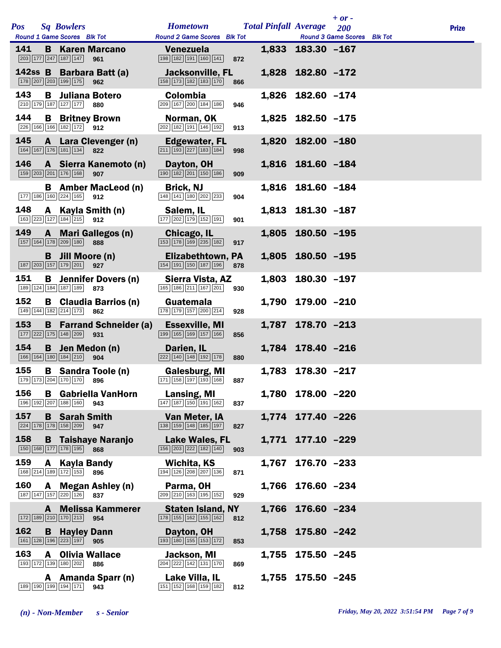|     |              |                                                                                                      |                                                                                      |     |       |                              | $+$ or $-$                         |              |
|-----|--------------|------------------------------------------------------------------------------------------------------|--------------------------------------------------------------------------------------|-----|-------|------------------------------|------------------------------------|--------------|
| Pos |              | <b>Sq Bowlers</b>                                                                                    | <b>Hometown</b>                                                                      |     |       | <b>Total Pinfall Average</b> | 200                                | <b>Prize</b> |
|     |              | Round 1 Game Scores Blk Tot                                                                          | Round 2 Game Scores Blk Tot                                                          |     |       |                              | <b>Round 3 Game Scores</b> Blk Tot |              |
| 141 | B            | <b>Karen Marcano</b><br>203 177 247 187 147<br>961                                                   | Venezuela<br>198 182 191 160 141                                                     | 872 |       | 1,833 183.30 -167            |                                    |              |
|     |              | 142ss B Barbara Batt (a)<br>178 207 203 199 175<br>962                                               | <b>Jacksonville, FL</b><br>158 173 182 183 170                                       | 866 |       | 1,828 182.80 -172            |                                    |              |
| 143 |              | <b>B</b> Juliana Botero<br>210 179 187 127 177<br>880                                                | Colombia<br>209 167 200 184 186                                                      | 946 | 1,826 | 182.60 -174                  |                                    |              |
| 144 |              | <b>B</b> Britney Brown<br>226 166 166 182 172 912                                                    | Norman, OK<br>202 182 191 146 192                                                    | 913 |       | 1,825 182.50 -175            |                                    |              |
| 145 | $\mathbf{A}$ | Lara Clevenger (n)<br>$\boxed{164}$ $\boxed{167}$ $\boxed{176}$ $\boxed{181}$ $\boxed{134}$<br>822   | Edgewater, FL<br>211 193 227 183 184                                                 | 998 |       | 1,820 182.00 -180            |                                    |              |
| 146 |              | A Sierra Kanemoto (n)<br>159 203 201 176 168<br>907                                                  | Dayton, OH<br>190 182 201 150 186                                                    | 909 |       | 1,816 181.60 -184            |                                    |              |
|     |              | <b>B</b> Amber MacLeod (n)<br>177 186 160 224 165<br>912                                             | <b>Brick, NJ</b><br>148 141 180 202 233                                              | 904 |       | 1,816 181.60 -184            |                                    |              |
| 148 | A            | Kayla Smith (n)<br>$\boxed{163}$ $\boxed{223}$ $\boxed{127}$ $\boxed{184}$ $\boxed{215}$ 912         | Salem, IL<br>177 202 179 152 191                                                     | 901 |       | 1,813 181.30 -187            |                                    |              |
| 149 |              | A Mari Gallegos (n)<br>157 164 178 209 180<br>888                                                    | Chicago, IL<br>$\boxed{153}$ $\boxed{178}$ $\boxed{169}$ $\boxed{235}$ $\boxed{182}$ | 917 |       | 1,805 180.50 -195            |                                    |              |
|     |              | <b>B</b> Jill Moore (n)<br>187 203 157 179 201<br>927                                                | Elizabethtown, PA<br>154 191 150 187 196                                             | 878 |       | 1,805 180.50 -195            |                                    |              |
| 151 | В            | <b>Jennifer Dovers (n)</b><br>189 124 184 187 189<br>873                                             | Sierra Vista, AZ<br>165 186 211 167 201                                              | 930 | 1,803 | $180.30 - 197$               |                                    |              |
| 152 |              | <b>B</b> Claudia Barrios (n)<br>149 144 182 214 173 862                                              | Guatemala<br>$\boxed{178}$ $\boxed{179}$ $\boxed{157}$ $\boxed{200}$ $\boxed{214}$   | 928 |       | 1,790 179.00 -210            |                                    |              |
| 153 |              | <b>B</b> Farrand Schneider (a)<br>177 222 175 148 209<br>931                                         | <b>Essexville, MI</b><br>199 165 169 157 166                                         | 856 |       | 1,787 178.70 -213            |                                    |              |
| 154 | B            | Jen Medon (n)<br>166 164 180 184 210<br>904                                                          | Darien, IL<br>222 140 148 192 178                                                    | 880 |       | 1,784 178.40 -216            |                                    |              |
| 155 |              | <b>B</b> Sandra Toole (n)<br>179 173 204 170 170 896                                                 | <b>Galesburg, MI</b><br>171 158 197 193 168                                          | 887 |       | 1,783 178.30 -217            |                                    |              |
| 156 |              | <b>B</b> Gabriella VanHorn<br>196 192 207 188 160<br>943                                             | Lansing, MI<br>$\boxed{147}$ $\boxed{187}$ $\boxed{150}$ $\boxed{191}$ $\boxed{162}$ | 837 |       | 1,780 178.00 -220            |                                    |              |
| 157 |              | <b>B</b> Sarah Smith<br>224 178 178 158 209<br>947                                                   | Van Meter, IA<br>138 159 148 185 197                                                 | 827 |       | 1,774 177.40 -226            |                                    |              |
| 158 |              | <b>B</b> Taishaye Naranjo<br>150 168 177 178 195 868                                                 | <b>Lake Wales, FL</b><br>156 203 222 182 140                                         | 903 |       | 1,771 177.10 -229            |                                    |              |
| 159 | A            | <b>Kayla Bandy</b><br>168 214 189 172 153<br>896                                                     | Wichita, KS<br>194 126 208 207 136                                                   | 871 | 1,767 | $176.70 - 233$               |                                    |              |
| 160 | A            | <b>Megan Ashley (n)</b><br>187 147 157 220 126<br>837                                                | Parma, OH<br>209 210 163 195 152                                                     | 929 |       | 1,766 176.60 -234            |                                    |              |
|     | A.           | <b>Melissa Kammerer</b><br>$\boxed{172}$ $\boxed{189}$ $\boxed{210}$ $\boxed{170}$ $\boxed{213}$ 954 | <b>Staten Island, NY</b><br>178 155 162 155 162                                      | 812 | 1,766 | $176.60 - 234$               |                                    |              |
| 162 | B            | <b>Hayley Dann</b><br>$\boxed{161}$ $\boxed{128}$ $\boxed{196}$ $\boxed{223}$ $\boxed{197}$<br>905   | Dayton, OH<br>193 180 155 153 172                                                    | 853 |       | 1,758 175.80 -242            |                                    |              |
| 163 | A            | <b>Olivia Wallace</b><br>193 172 139 180 202<br>886                                                  | Jackson, MI<br>204 222 142 131 170                                                   | 869 | 1,755 | $175.50 - 245$               |                                    |              |
|     |              | A Amanda Sparr (n)<br>189 190 199 194 171<br>943                                                     | Lake Villa, IL<br>151 152 168 159 182                                                | 812 |       | 1,755 175.50 -245            |                                    |              |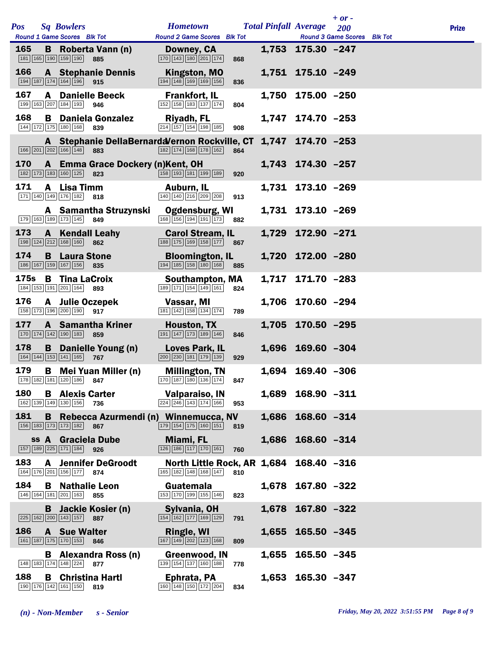| <b>Pos</b>  |   | <b>Sq Bowlers</b><br>Round 1 Game Scores Blk Tot                                                   | <b>Hometown</b><br><b>Round 2 Game Scores</b> Blk Tot                                                   | <b>Total Pinfall Average</b> |                   | $+$ or $-$<br><b>200</b><br><b>Round 3 Game Scores</b> | <b>Blk Tot</b> | <b>Prize</b> |
|-------------|---|----------------------------------------------------------------------------------------------------|---------------------------------------------------------------------------------------------------------|------------------------------|-------------------|--------------------------------------------------------|----------------|--------------|
| 165         | B | Roberta Vann (n)<br>181 165 190 159 190<br>885                                                     | Downey, CA<br>$\boxed{170}$ $\boxed{143}$ $\boxed{180}$ $\boxed{201}$ $\boxed{174}$<br>868              |                              | 1,753 175.30 -247 |                                                        |                |              |
| 166         |   | <b>A</b> Stephanie Dennis<br>194 187 174 164 196<br>915                                            | <b>Kingston, MO</b><br>194 148 169 169 156<br>836                                                       |                              | 1,751 175.10 -249 |                                                        |                |              |
| 167         |   | <b>A</b> Danielle Beeck<br>199 163 207 184 193<br>946                                              | <b>Frankfort, IL</b><br>152 158 183 137 174<br>804                                                      | 1,750                        | $175.00 - 250$    |                                                        |                |              |
| 168         |   | <b>B</b> Daniela Gonzalez<br>144 172 175 180 168<br>839                                            | Riyadh, FL<br>214 157 154 198 185<br>908                                                                |                              | 1,747 174.70 -253 |                                                        |                |              |
|             |   | A Stephanie DellaBernardaVernon Rockville, CT<br>166 201 202 166 148<br>883                        | 182 174 168 178 162<br>864                                                                              |                              | 1,747 174.70 -253 |                                                        |                |              |
| 170         |   | A Emma Grace Dockery (n)Kent, OH<br>182 173 183 160 125<br>823                                     | 158 193 181 199 189<br>920                                                                              |                              | 1,743 174.30 -257 |                                                        |                |              |
| 171         |   | A Lisa Timm<br>171 140 149 176 182<br>818                                                          | Auburn, IL<br>$\boxed{140}$ $\boxed{140}$ $\boxed{216}$ $\boxed{209}$ $\boxed{208}$<br>913              |                              | 1,731 173.10 -269 |                                                        |                |              |
|             |   | A Samantha Struzynski<br>179 163 189 173 145<br>849                                                | <b>Ogdensburg, WI</b><br>$\boxed{168}$ $\boxed{156}$ $\boxed{194}$ $\boxed{191}$ $\boxed{173}$<br>882   |                              | 1,731 173.10 -269 |                                                        |                |              |
| 173         | A | <b>Kendall Leahy</b><br>198 124 212 168 160<br>862                                                 | <b>Carol Stream, IL</b><br>$\boxed{188}$ $\boxed{175}$ $\boxed{169}$ $\boxed{158}$ $\boxed{177}$<br>867 |                              | 1,729 172.90 -271 |                                                        |                |              |
| 174         | B | <b>Laura Stone</b><br>186 167 159 167 156<br>835                                                   | <b>Bloomington, IL</b><br>194 185 158 180 168<br>885                                                    |                              | 1,720 172.00 -280 |                                                        |                |              |
| <b>175s</b> |   | <b>B</b> Tina LaCroix<br>184 153 191 201 164<br>893                                                | Southampton, MA<br>189 171 154 149 161<br>824                                                           | 1,717                        | 171.70 -283       |                                                        |                |              |
| 176         |   | A Julie Oczepek<br>158 173 196 200 190<br>917                                                      | Vassar, MI<br>181 142 158 134 174<br>789                                                                |                              | 1,706 170.60 -294 |                                                        |                |              |
| 177         |   | <b>A</b> Samantha Kriner<br>170 174 142 190 183<br>859                                             | Houston, TX<br>$\boxed{191}$ $\boxed{147}$ $\boxed{173}$ $\boxed{189}$ $\boxed{146}$<br>846             |                              | 1,705 170.50 -295 |                                                        |                |              |
| 178         | B | Danielle Young (n)<br>$\boxed{164}$ $\boxed{144}$ $\boxed{153}$ $\boxed{141}$ $\boxed{165}$<br>767 | <b>Loves Park, IL</b><br>$\boxed{200}$ $\boxed{230}$ $\boxed{181}$ $\boxed{179}$ $\boxed{139}$<br>929   |                              | 1,696 169.60 -304 |                                                        |                |              |
| 179         |   | <b>B</b> Mei Yuan Miller (n)<br>178 182 181 120 186 847                                            | <b>Millington, TN</b><br>$\boxed{170}$ $\boxed{187}$ $\boxed{180}$ $\boxed{136}$ $\boxed{174}$<br>847   |                              | 1,694 169.40 -306 |                                                        |                |              |
| 180         |   | <b>B</b> Alexis Carter<br>162 139 149 130 156<br>736                                               | Valparaiso, IN<br>$\boxed{224}\boxed{246}\boxed{143}\boxed{174}\boxed{166}$<br>953                      |                              | 1,689 168.90 -311 |                                                        |                |              |
| 181         | B | Rebecca Azurmendi (n) Winnemucca, NV<br>156 183 173 173 182<br>867                                 | 179 154 175 160 151<br>819                                                                              |                              | 1,686 168.60 -314 |                                                        |                |              |
|             |   | ss A Graciela Dube<br>$\boxed{157}$ $\boxed{189}$ $\boxed{225}$ $\boxed{171}$ $\boxed{184}$<br>926 | <b>Miami, FL</b><br>$\boxed{126}$ $\boxed{186}$ $\boxed{117}$ $\boxed{170}$ $\boxed{161}$<br>760        | 1,686                        | $168.60 - 314$    |                                                        |                |              |
| 183         | A | <b>Jennifer DeGroodt</b><br>164 176 201 156 177 874                                                | North Little Rock, AR 1,684 168.40 -316<br>165 182 148 168 147<br>810                                   |                              |                   |                                                        |                |              |
| 184         |   | <b>B</b> Nathalie Leon<br>146 164 181 201 163<br>855                                               | Guatemala<br>153 170 199 155 146<br>823                                                                 |                              | 1,678 167.80 -322 |                                                        |                |              |
|             |   | <b>B</b> Jackie Kosier (n)<br>225 162 200 143 157<br>887                                           | Sylvania, OH<br>154 162 177 169 129<br>791                                                              | 1,678                        | 167.80 -322       |                                                        |                |              |
| 186         |   | <b>A</b> Sue Walter<br>$161$ 187 175 170 153<br>846                                                | <b>Ringle, WI</b><br>$\boxed{167}$ $\boxed{149}$ $\boxed{202}$ $\boxed{123}$ $\boxed{168}$<br>809       | 1,655                        | $165.50 - 345$    |                                                        |                |              |
|             |   | <b>B</b> Alexandra Ross (n)<br>148 183 174 148 224<br>877                                          | Greenwood, IN<br>139 154 137 160 188<br>778                                                             | 1,655                        | $165.50 - 345$    |                                                        |                |              |
| 188         | В | <b>Christina Hartl</b><br>190 176 142 161 150<br>819                                               | Ephrata, PA<br>160 148 150 172 204<br>834                                                               | 1,653                        | $165.30 - 347$    |                                                        |                |              |